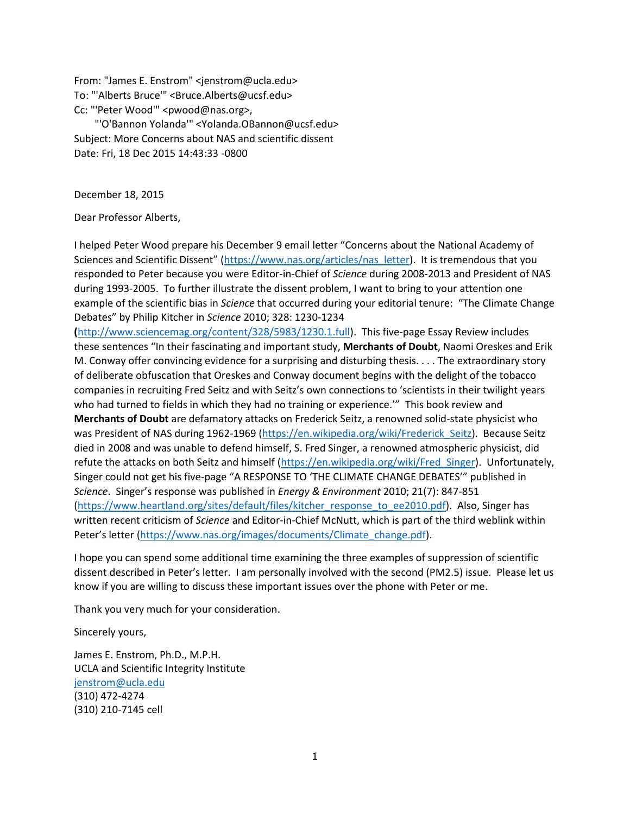From: "James E. Enstrom" <jenstrom@ucla.edu> To: "'Alberts Bruce'" <Bruce.Alberts@ucsf.edu> Cc: "'Peter Wood'" <pwood@nas.org>,

 "'O'Bannon Yolanda'" <Yolanda.OBannon@ucsf.edu> Subject: More Concerns about NAS and scientific dissent Date: Fri, 18 Dec 2015 14:43:33 -0800

December 18, 2015

Dear Professor Alberts,

I helped Peter Wood prepare his December 9 email letter "Concerns about the National Academy of Sciences and Scientific Dissent" ([https://www.nas.org/articles/nas\\_letter\)](https://www.nas.org/articles/nas_letter). It is tremendous that you responded to Peter because you were Editor-in-Chief of *Science* during 2008-2013 and President of NAS during 1993-2005. To further illustrate the dissent problem, I want to bring to your attention one example of the scientific bias in *Science* that occurred during your editorial tenure: "The Climate Change Debates" by Philip Kitcher in *Science* 2010; 328: 1230-1234

**(**[http://www.sciencemag.org/content/328/5983/1230.1.full\)](http://www.sciencemag.org/content/328/5983/1230.1.full). This five-page Essay Review includes these sentences "In their fascinating and important study, **Merchants of Doubt**, Naomi Oreskes and Erik M. Conway offer convincing evidence for a surprising and disturbing thesis. . . . The extraordinary story of deliberate obfuscation that Oreskes and Conway document begins with the delight of the tobacco companies in recruiting Fred Seitz and with Seitz's own connections to 'scientists in their twilight years who had turned to fields in which they had no training or experience." This book review and **Merchants of Doubt** are defamatory attacks on Frederick Seitz, a renowned solid-state physicist who was President of NAS during 1962-1969 (https://en.wikipedia.org/wiki/Frederick Seitz). Because Seitz died in 2008 and was unable to defend himself, S. Fred Singer, a renowned atmospheric physicist, did refute the attacks on both Seitz and himself [\(https://en.wikipedia.org/wiki/Fred\\_Singer\)](https://en.wikipedia.org/wiki/Fred_Singer). Unfortunately, Singer could not get his five-page "A RESPONSE TO 'THE CLIMATE CHANGE DEBATES'" published in *Science*. Singer's response was published in *Energy & Environment* 2010; 21(7): 847-851 [\(https://www.heartland.org/sites/default/files/kitcher\\_response\\_to\\_ee2010.pdf\)](https://www.heartland.org/sites/default/files/kitcher_response_to_ee2010.pdf). Also, Singer has written recent criticism of *Science* and Editor-in-Chief McNutt, which is part of the third weblink within Peter's letter ([https://www.nas.org/images/documents/Climate\\_change.pdf\)](https://www.nas.org/images/documents/Climate_change.pdf).

I hope you can spend some additional time examining the three examples of suppression of scientific dissent described in Peter's letter. I am personally involved with the second (PM2.5) issue. Please let us know if you are willing to discuss these important issues over the phone with Peter or me.

Thank you very much for your consideration.

Sincerely yours,

James E. Enstrom, Ph.D., M.P.H. UCLA and Scientific Integrity Institute [jenstrom@ucla.edu](mailto:jenstrom@ucla.edu) (310) 472-4274 (310) 210-7145 cell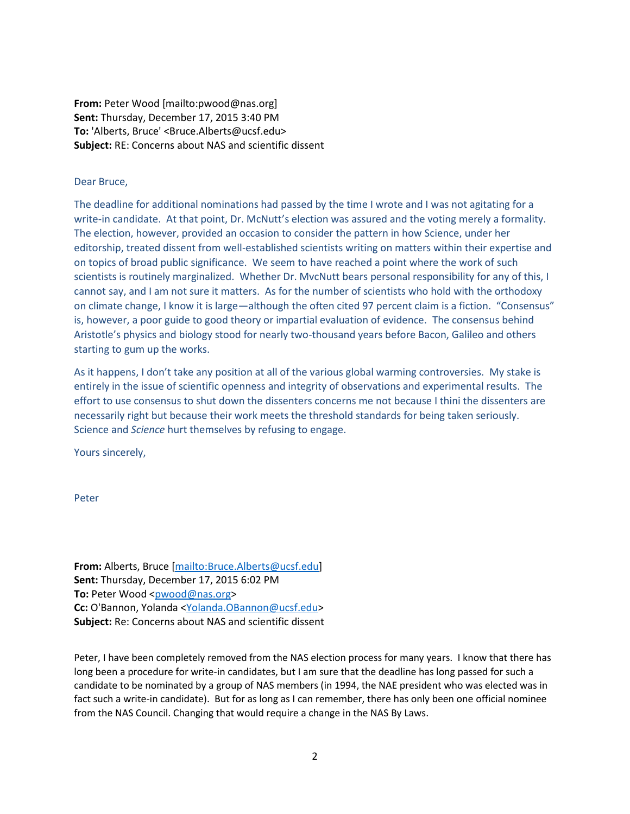**From:** Peter Wood [mailto:pwood@nas.org] **Sent:** Thursday, December 17, 2015 3:40 PM **To:** 'Alberts, Bruce' <Bruce.Alberts@ucsf.edu> **Subject:** RE: Concerns about NAS and scientific dissent

## Dear Bruce,

The deadline for additional nominations had passed by the time I wrote and I was not agitating for a write-in candidate. At that point, Dr. McNutt's election was assured and the voting merely a formality. The election, however, provided an occasion to consider the pattern in how Science, under her editorship, treated dissent from well-established scientists writing on matters within their expertise and on topics of broad public significance. We seem to have reached a point where the work of such scientists is routinely marginalized. Whether Dr. MvcNutt bears personal responsibility for any of this, I cannot say, and I am not sure it matters. As for the number of scientists who hold with the orthodoxy on climate change, I know it is large—although the often cited 97 percent claim is a fiction. "Consensus" is, however, a poor guide to good theory or impartial evaluation of evidence. The consensus behind Aristotle's physics and biology stood for nearly two-thousand years before Bacon, Galileo and others starting to gum up the works.

As it happens, I don't take any position at all of the various global warming controversies. My stake is entirely in the issue of scientific openness and integrity of observations and experimental results. The effort to use consensus to shut down the dissenters concerns me not because I thini the dissenters are necessarily right but because their work meets the threshold standards for being taken seriously. Science and *Science* hurt themselves by refusing to engage.

Yours sincerely,

Peter

**From:** Alberts, Bruce [\[mailto:Bruce.Alberts@ucsf.edu\]](mailto:Bruce.Alberts@ucsf.edu) **Sent:** Thursday, December 17, 2015 6:02 PM **To:** Peter Wood [<pwood@nas.org>](mailto:pwood@nas.org) **Cc:** O'Bannon, Yolanda [<Yolanda.OBannon@ucsf.edu>](mailto:Yolanda.OBannon@ucsf.edu) **Subject:** Re: Concerns about NAS and scientific dissent

Peter, I have been completely removed from the NAS election process for many years. I know that there has long been a procedure for write-in candidates, but I am sure that the deadline has long passed for such a candidate to be nominated by a group of NAS members (in 1994, the NAE president who was elected was in fact such a write-in candidate). But for as long as I can remember, there has only been one official nominee from the NAS Council. Changing that would require a change in the NAS By Laws.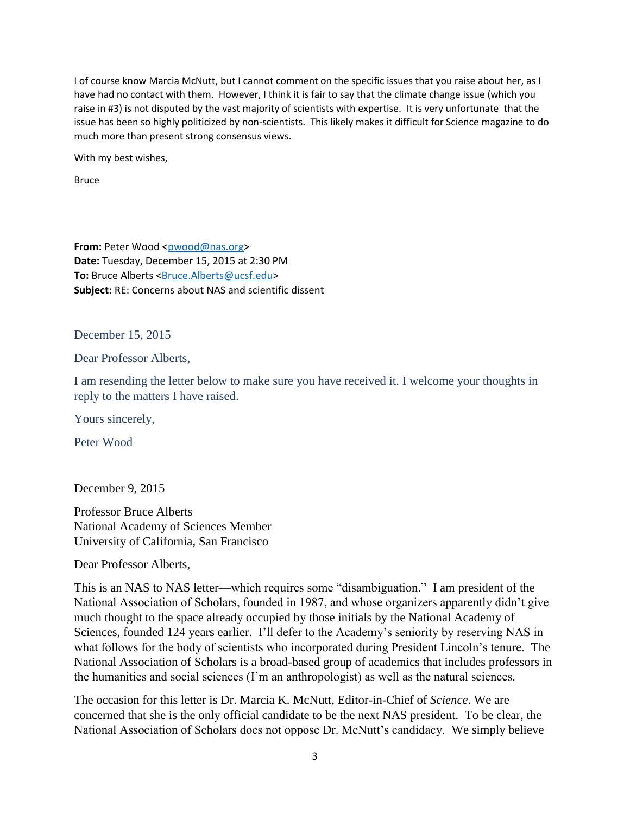I of course know Marcia McNutt, but I cannot comment on the specific issues that you raise about her, as I have had no contact with them. However, I think it is fair to say that the climate change issue (which you raise in #3) is not disputed by the vast majority of scientists with expertise. It is very unfortunate that the issue has been so highly politicized by non-scientists. This likely makes it difficult for Science magazine to do much more than present strong consensus views.

With my best wishes,

Bruce

**From: Peter Wood [<pwood@nas.org>](mailto:pwood@nas.org) Date:** Tuesday, December 15, 2015 at 2:30 PM **To:** Bruce Alberts [<Bruce.Alberts@ucsf.edu>](mailto:Bruce.Alberts@ucsf.edu) **Subject:** RE: Concerns about NAS and scientific dissent

December 15, 2015

Dear Professor Alberts,

I am resending the letter below to make sure you have received it. I welcome your thoughts in reply to the matters I have raised.

Yours sincerely,

Peter Wood

December 9, 2015

Professor Bruce Alberts National Academy of Sciences Member University of California, San Francisco

Dear Professor Alberts,

This is an NAS to NAS letter—which requires some "disambiguation." I am president of the National Association of Scholars, founded in 1987, and whose organizers apparently didn't give much thought to the space already occupied by those initials by the National Academy of Sciences, founded 124 years earlier. I'll defer to the Academy's seniority by reserving NAS in what follows for the body of scientists who incorporated during President Lincoln's tenure. The National Association of Scholars is a broad-based group of academics that includes professors in the humanities and social sciences (I'm an anthropologist) as well as the natural sciences.

The occasion for this letter is Dr. Marcia K. McNutt, Editor-in-Chief of *Science*. We are concerned that she is the only official candidate to be the next NAS president. To be clear, the National Association of Scholars does not oppose Dr. McNutt's candidacy. We simply believe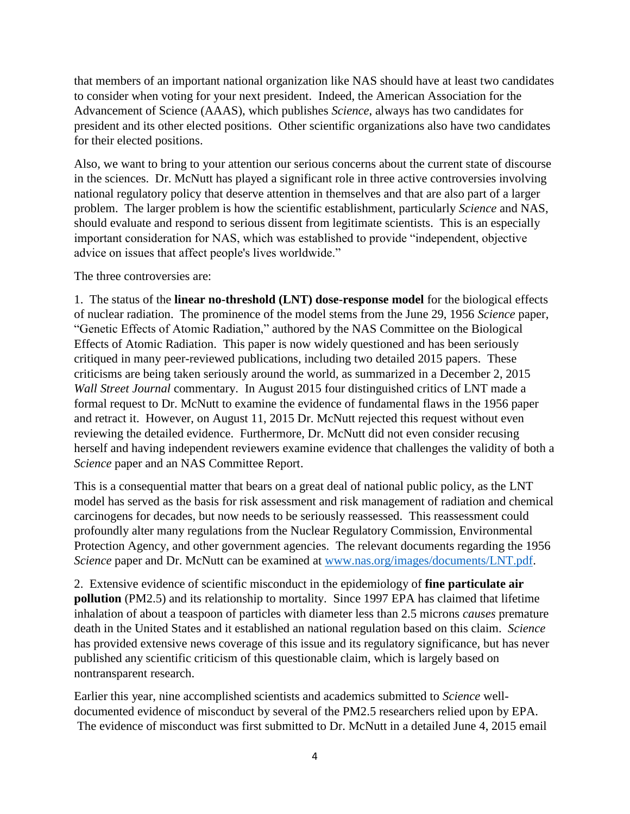that members of an important national organization like NAS should have at least two candidates to consider when voting for your next president. Indeed, the American Association for the Advancement of Science (AAAS), which publishes *Science*, always has two candidates for president and its other elected positions. Other scientific organizations also have two candidates for their elected positions.

Also, we want to bring to your attention our serious concerns about the current state of discourse in the sciences. Dr. McNutt has played a significant role in three active controversies involving national regulatory policy that deserve attention in themselves and that are also part of a larger problem. The larger problem is how the scientific establishment, particularly *Science* and NAS, should evaluate and respond to serious dissent from legitimate scientists. This is an especially important consideration for NAS, which was established to provide "independent, objective advice on issues that affect people's lives worldwide."

The three controversies are:

1. The status of the **linear no-threshold (LNT) dose-response model** for the biological effects of nuclear radiation. The prominence of the model stems from the June 29, 1956 *Science* paper, "Genetic Effects of Atomic Radiation," authored by the NAS Committee on the Biological Effects of Atomic Radiation. This paper is now widely questioned and has been seriously critiqued in many peer-reviewed publications, including two detailed 2015 papers. These criticisms are being taken seriously around the world, as summarized in a December 2, 2015 *Wall Street Journal* commentary. In August 2015 four distinguished critics of LNT made a formal request to Dr. McNutt to examine the evidence of fundamental flaws in the 1956 paper and retract it. However, on August 11, 2015 Dr. McNutt rejected this request without even reviewing the detailed evidence. Furthermore, Dr. McNutt did not even consider recusing herself and having independent reviewers examine evidence that challenges the validity of both a *Science* paper and an NAS Committee Report.

This is a consequential matter that bears on a great deal of national public policy, as the LNT model has served as the basis for risk assessment and risk management of radiation and chemical carcinogens for decades, but now needs to be seriously reassessed. This reassessment could profoundly alter many regulations from the Nuclear Regulatory Commission, Environmental Protection Agency, and other government agencies. The relevant documents regarding the 1956 *Science* paper and Dr. McNutt can be examined at [www.nas.org/images/documents/LNT.pdf.](http://www.nas.org/images/documents/LNT.pdf)

2. Extensive evidence of scientific misconduct in the epidemiology of **fine particulate air pollution** (PM2.5) and its relationship to mortality. Since 1997 EPA has claimed that lifetime inhalation of about a teaspoon of particles with diameter less than 2.5 microns *causes* premature death in the United States and it established an national regulation based on this claim. *Science* has provided extensive news coverage of this issue and its regulatory significance, but has never published any scientific criticism of this questionable claim, which is largely based on nontransparent research.

Earlier this year, nine accomplished scientists and academics submitted to *Science* welldocumented evidence of misconduct by several of the PM2.5 researchers relied upon by EPA. The evidence of misconduct was first submitted to Dr. McNutt in a detailed June 4, 2015 email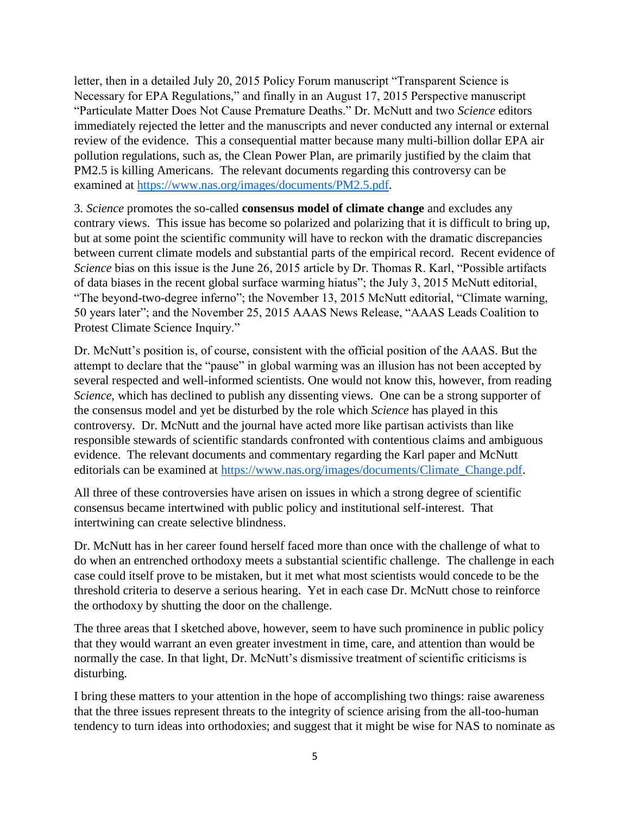letter, then in a detailed July 20, 2015 Policy Forum manuscript "Transparent Science is Necessary for EPA Regulations," and finally in an August 17, 2015 Perspective manuscript "Particulate Matter Does Not Cause Premature Deaths." Dr. McNutt and two *Science* editors immediately rejected the letter and the manuscripts and never conducted any internal or external review of the evidence. This a consequential matter because many multi-billion dollar EPA air pollution regulations, such as, the Clean Power Plan, are primarily justified by the claim that PM2.5 is killing Americans. The relevant documents regarding this controversy can be examined at [https://www.nas.org/images/documents/PM2.5.pdf.](https://www.nas.org/images/documents/PM2.5.pdf)

3*. Science* promotes the so-called **consensus model of climate change** and excludes any contrary views. This issue has become so polarized and polarizing that it is difficult to bring up, but at some point the scientific community will have to reckon with the dramatic discrepancies between current climate models and substantial parts of the empirical record. Recent evidence of *Science* bias on this issue is the June 26, 2015 article by Dr. Thomas R. Karl, "Possible artifacts of data biases in the recent global surface warming hiatus"; the July 3, 2015 McNutt editorial, "The beyond-two-degree inferno"; the November 13, 2015 McNutt editorial, "Climate warning, 50 years later"; and the November 25, 2015 AAAS News Release, "AAAS Leads Coalition to Protest Climate Science Inquiry."

Dr. McNutt's position is, of course, consistent with the official position of the AAAS. But the attempt to declare that the "pause" in global warming was an illusion has not been accepted by several respected and well-informed scientists. One would not know this, however, from reading *Science*, which has declined to publish any dissenting views. One can be a strong supporter of the consensus model and yet be disturbed by the role which *Science* has played in this controversy. Dr. McNutt and the journal have acted more like partisan activists than like responsible stewards of scientific standards confronted with contentious claims and ambiguous evidence. The relevant documents and commentary regarding the Karl paper and McNutt editorials can be examined at [https://www.nas.org/images/documents/Climate\\_Change.pdf.](https://www.nas.org/images/documents/Climate_Change.pdf)

All three of these controversies have arisen on issues in which a strong degree of scientific consensus became intertwined with public policy and institutional self-interest. That intertwining can create selective blindness.

Dr. McNutt has in her career found herself faced more than once with the challenge of what to do when an entrenched orthodoxy meets a substantial scientific challenge. The challenge in each case could itself prove to be mistaken, but it met what most scientists would concede to be the threshold criteria to deserve a serious hearing. Yet in each case Dr. McNutt chose to reinforce the orthodoxy by shutting the door on the challenge.

The three areas that I sketched above, however, seem to have such prominence in public policy that they would warrant an even greater investment in time, care, and attention than would be normally the case. In that light, Dr. McNutt's dismissive treatment of scientific criticisms is disturbing.

I bring these matters to your attention in the hope of accomplishing two things: raise awareness that the three issues represent threats to the integrity of science arising from the all-too-human tendency to turn ideas into orthodoxies; and suggest that it might be wise for NAS to nominate as